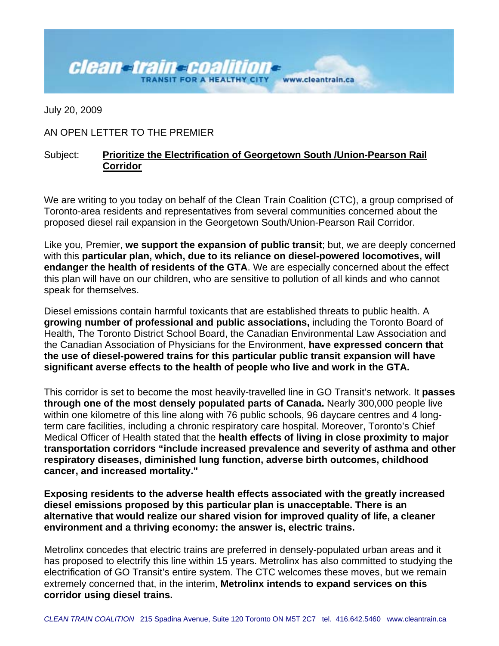## **Clean-train-Coalition**www.cleantrain.ca

July 20, 2009

## AN OPEN LETTER TO THE PREMIER

## Subject: **Prioritize the Electrification of Georgetown South /Union-Pearson Rail Corridor**

We are writing to you today on behalf of the Clean Train Coalition (CTC), a group comprised of Toronto-area residents and representatives from several communities concerned about the proposed diesel rail expansion in the Georgetown South/Union-Pearson Rail Corridor.

Like you, Premier, **we support the expansion of public transit**; but, we are deeply concerned with this **particular plan, which, due to its reliance on diesel-powered locomotives, will endanger the health of residents of the GTA**. We are especially concerned about the effect this plan will have on our children, who are sensitive to pollution of all kinds and who cannot speak for themselves.

Diesel emissions contain harmful toxicants that are established threats to public health. A **growing number of professional and public associations,** including the Toronto Board of Health, The Toronto District School Board, the Canadian Environmental Law Association and the Canadian Association of Physicians for the Environment, **have expressed concern that the use of diesel-powered trains for this particular public transit expansion will have significant averse effects to the health of people who live and work in the GTA.** 

This corridor is set to become the most heavily-travelled line in GO Transit's network. It **passes through one of the most densely populated parts of Canada.** Nearly 300,000 people live within one kilometre of this line along with 76 public schools, 96 daycare centres and 4 longterm care facilities, including a chronic respiratory care hospital. Moreover, Toronto's Chief Medical Officer of Health stated that the **health effects of living in close proximity to major transportation corridors "include increased prevalence and severity of asthma and other respiratory diseases, diminished lung function, adverse birth outcomes, childhood cancer, and increased mortality."** 

**Exposing residents to the adverse health effects associated with the greatly increased diesel emissions proposed by this particular plan is unacceptable. There is an alternative that would realize our shared vision for improved quality of life, a cleaner environment and a thriving economy: the answer is, electric trains.** 

Metrolinx concedes that electric trains are preferred in densely-populated urban areas and it has proposed to electrify this line within 15 years. Metrolinx has also committed to studying the electrification of GO Transit's entire system. The CTC welcomes these moves, but we remain extremely concerned that, in the interim, **Metrolinx intends to expand services on this corridor using diesel trains.**